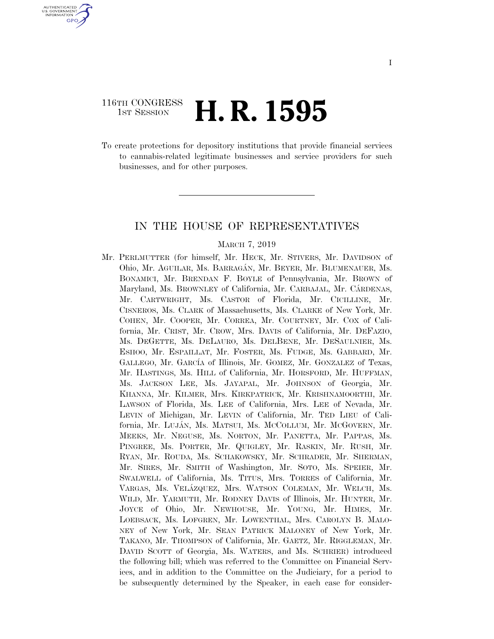# 116TH CONGRESS **1st Session H. R. 1595**

U.S. GOVERNMENT **GPO** 

> To create protections for depository institutions that provide financial services to cannabis-related legitimate businesses and service providers for such businesses, and for other purposes.

## IN THE HOUSE OF REPRESENTATIVES

#### MARCH 7, 2019

Mr. PERLMUTTER (for himself, Mr. HECK, Mr. STIVERS, Mr. DAVIDSON of Ohio, Mr. AGUILAR, Ms. BARRAGA´N, Mr. BEYER, Mr. BLUMENAUER, Ms. BONAMICI, Mr. BRENDAN F. BOYLE of Pennsylvania, Mr. BROWN of Maryland, Ms. BROWNLEY of California, Mr. CARBAJAL, Mr. CÁRDENAS, Mr. CARTWRIGHT, Ms. CASTOR of Florida, Mr. CICILLINE, Mr. CISNEROS, Ms. CLARK of Massachusetts, Ms. CLARKE of New York, Mr. COHEN, Mr. COOPER, Mr. CORREA, Mr. COURTNEY, Mr. COX of California, Mr. CRIST, Mr. CROW, Mrs. DAVIS of California, Mr. DEFAZIO, Ms. DEGETTE, Ms. DELAURO, Ms. DELBENE, Mr. DESAULNIER, Ms. ESHOO, Mr. ESPAILLAT, Mr. FOSTER, Ms. FUDGE, Ms. GABBARD, Mr. GALLEGO, Mr. GARCÍA of Illinois, Mr. GOMEZ, Mr. GONZALEZ of Texas, Mr. HASTINGS, Ms. HILL of California, Mr. HORSFORD, Mr. HUFFMAN, Ms. JACKSON LEE, Ms. JAYAPAL, Mr. JOHNSON of Georgia, Mr. KHANNA, Mr. KILMER, Mrs. KIRKPATRICK, Mr. KRISHNAMOORTHI, Mr. LAWSON of Florida, Ms. LEE of California, Mrs. LEE of Nevada, Mr. LEVIN of Michigan, Mr. LEVIN of California, Mr. TED LIEU of California, Mr. LUJA´N, Ms. MATSUI, Ms. MCCOLLUM, Mr. MCGOVERN, Mr. MEEKS, Mr. NEGUSE, Ms. NORTON, Mr. PANETTA, Mr. PAPPAS, Ms. PINGREE, Ms. PORTER, Mr. QUIGLEY, Mr. RASKIN, Mr. RUSH, Mr. RYAN, Mr. ROUDA, Ms. SCHAKOWSKY, Mr. SCHRADER, Mr. SHERMAN, Mr. SIRES, Mr. SMITH of Washington, Mr. SOTO, Ms. SPEIER, Mr. SWALWELL of California, Ms. TITUS, Mrs. TORRES of California, Mr. VARGAS, Ms. VELÁZQUEZ, Mrs. WATSON COLEMAN, Mr. WELCH, Ms. WILD, Mr. YARMUTH, Mr. RODNEY DAVIS of Illinois, Mr. HUNTER, Mr. JOYCE of Ohio, Mr. NEWHOUSE, Mr. YOUNG, Mr. HIMES, Mr. LOEBSACK, Ms. LOFGREN, Mr. LOWENTHAL, Mrs. CAROLYN B. MALO-NEY of New York, Mr. SEAN PATRICK MALONEY of New York, Mr. TAKANO, Mr. THOMPSON of California, Mr. GAETZ, Mr. RIGGLEMAN, Mr. DAVID SCOTT of Georgia, Ms. WATERS, and Ms. SCHRIER) introduced the following bill; which was referred to the Committee on Financial Services, and in addition to the Committee on the Judiciary, for a period to be subsequently determined by the Speaker, in each case for consider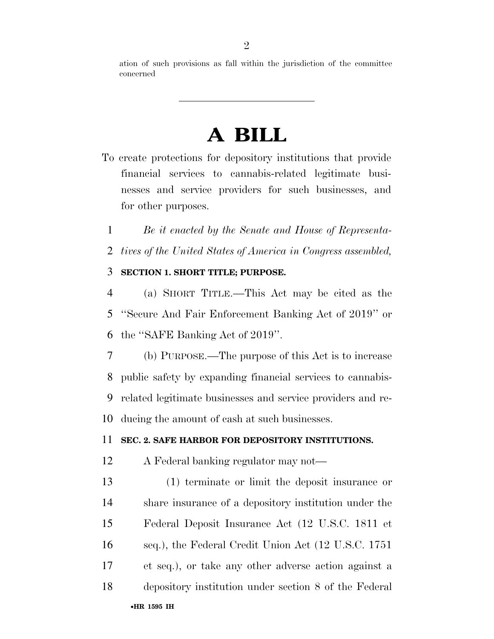ation of such provisions as fall within the jurisdiction of the committee concerned

# **A BILL**

To create protections for depository institutions that provide financial services to cannabis-related legitimate businesses and service providers for such businesses, and for other purposes.

*Be it enacted by the Senate and House of Representa-*

*tives of the United States of America in Congress assembled,* 

# **SECTION 1. SHORT TITLE; PURPOSE.**

 (a) SHORT TITLE.—This Act may be cited as the ''Secure And Fair Enforcement Banking Act of 2019'' or the ''SAFE Banking Act of 2019''.

 (b) PURPOSE.—The purpose of this Act is to increase public safety by expanding financial services to cannabis- related legitimate businesses and service providers and re-ducing the amount of cash at such businesses.

# **SEC. 2. SAFE HARBOR FOR DEPOSITORY INSTITUTIONS.**

- A Federal banking regulator may not—
- (1) terminate or limit the deposit insurance or share insurance of a depository institution under the Federal Deposit Insurance Act (12 U.S.C. 1811 et seq.), the Federal Credit Union Act (12 U.S.C. 1751 et seq.), or take any other adverse action against a depository institution under section 8 of the Federal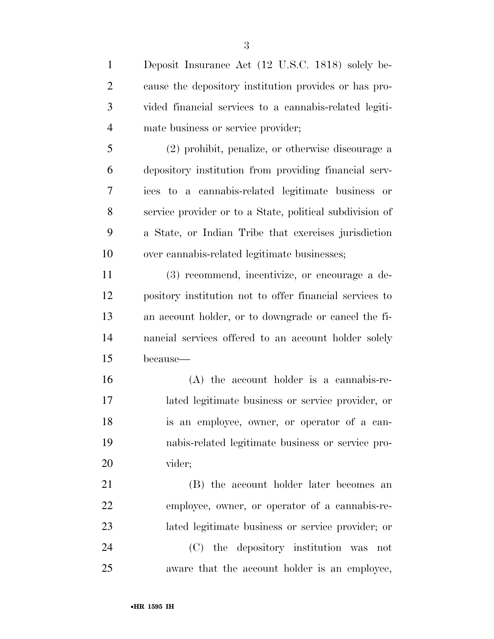Deposit Insurance Act (12 U.S.C. 1818) solely be- cause the depository institution provides or has pro- vided financial services to a cannabis-related legiti- mate business or service provider; (2) prohibit, penalize, or otherwise discourage a

 depository institution from providing financial serv- ices to a cannabis-related legitimate business or service provider or to a State, political subdivision of a State, or Indian Tribe that exercises jurisdiction over cannabis-related legitimate businesses;

 (3) recommend, incentivize, or encourage a de- pository institution not to offer financial services to an account holder, or to downgrade or cancel the fi- nancial services offered to an account holder solely because—

 (A) the account holder is a cannabis-re- lated legitimate business or service provider, or is an employee, owner, or operator of a can- nabis-related legitimate business or service pro-vider;

 (B) the account holder later becomes an employee, owner, or operator of a cannabis-re- lated legitimate business or service provider; or (C) the depository institution was not aware that the account holder is an employee,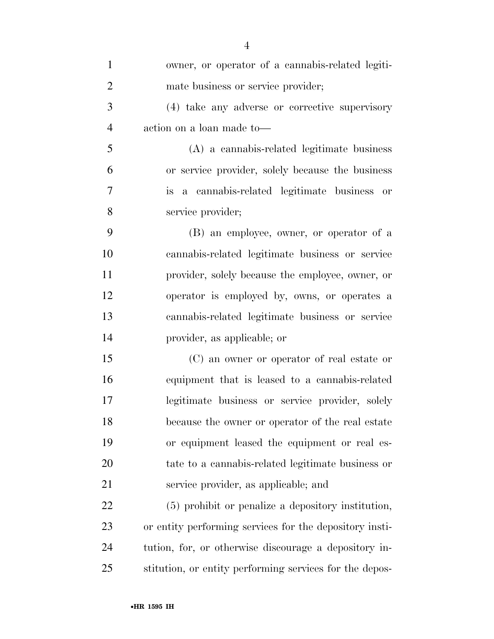| $\mathbf{1}$   | owner, or operator of a cannabis-related legiti-        |
|----------------|---------------------------------------------------------|
| $\overline{2}$ | mate business or service provider;                      |
| 3              | (4) take any adverse or corrective supervisory          |
| $\overline{4}$ | action on a loan made to-                               |
| 5              | (A) a cannabis-related legitimate business              |
| 6              | or service provider, solely because the business        |
| 7              | is a cannabis-related legitimate business or            |
| 8              | service provider;                                       |
| 9              | (B) an employee, owner, or operator of a                |
| 10             | cannabis-related legitimate business or service         |
| 11             | provider, solely because the employee, owner, or        |
| 12             | operator is employed by, owns, or operates a            |
| 13             | cannabis-related legitimate business or service         |
| 14             | provider, as applicable; or                             |
| 15             | (C) an owner or operator of real estate or              |
| 16             | equipment that is leased to a cannabis-related          |
| 17             | legitimate business or service provider, solely         |
| 18             | because the owner or operator of the real estate        |
| 19             | or equipment leased the equipment or real es-           |
| 20             | tate to a cannabis-related legitimate business or       |
| 21             | service provider, as applicable; and                    |
| 22             | (5) prohibit or penalize a depository institution,      |
| 23             | or entity performing services for the depository insti- |
| 24             | tution, for, or otherwise discourage a depository in-   |
| 25             | stitution, or entity performing services for the depos- |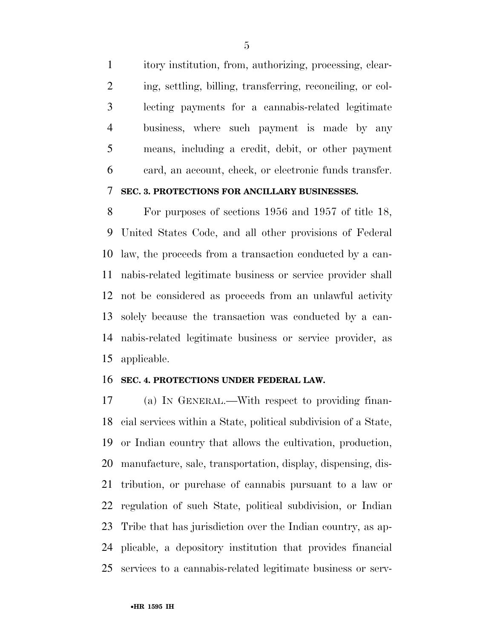itory institution, from, authorizing, processing, clear- ing, settling, billing, transferring, reconciling, or col- lecting payments for a cannabis-related legitimate business, where such payment is made by any means, including a credit, debit, or other payment card, an account, check, or electronic funds transfer.

# **SEC. 3. PROTECTIONS FOR ANCILLARY BUSINESSES.**

 For purposes of sections 1956 and 1957 of title 18, United States Code, and all other provisions of Federal law, the proceeds from a transaction conducted by a can- nabis-related legitimate business or service provider shall not be considered as proceeds from an unlawful activity solely because the transaction was conducted by a can- nabis-related legitimate business or service provider, as applicable.

#### **SEC. 4. PROTECTIONS UNDER FEDERAL LAW.**

 (a) IN GENERAL.—With respect to providing finan- cial services within a State, political subdivision of a State, or Indian country that allows the cultivation, production, manufacture, sale, transportation, display, dispensing, dis- tribution, or purchase of cannabis pursuant to a law or regulation of such State, political subdivision, or Indian Tribe that has jurisdiction over the Indian country, as ap- plicable, a depository institution that provides financial services to a cannabis-related legitimate business or serv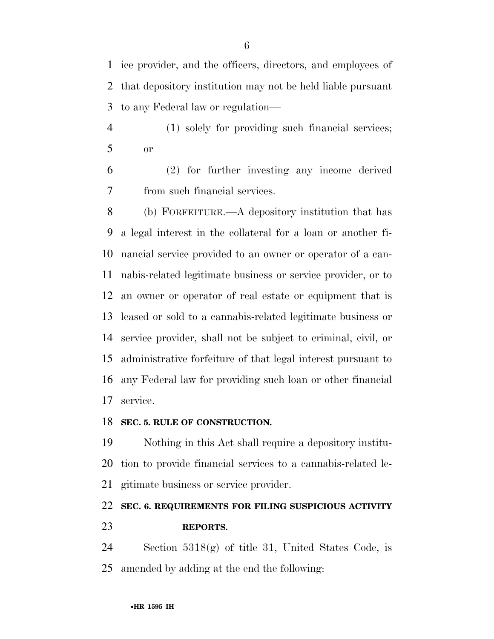ice provider, and the officers, directors, and employees of that depository institution may not be held liable pursuant to any Federal law or regulation—

 (1) solely for providing such financial services; or

 (2) for further investing any income derived from such financial services.

 (b) FORFEITURE.—A depository institution that has a legal interest in the collateral for a loan or another fi- nancial service provided to an owner or operator of a can- nabis-related legitimate business or service provider, or to an owner or operator of real estate or equipment that is leased or sold to a cannabis-related legitimate business or service provider, shall not be subject to criminal, civil, or administrative forfeiture of that legal interest pursuant to any Federal law for providing such loan or other financial service.

### **SEC. 5. RULE OF CONSTRUCTION.**

 Nothing in this Act shall require a depository institu- tion to provide financial services to a cannabis-related le-gitimate business or service provider.

# **SEC. 6. REQUIREMENTS FOR FILING SUSPICIOUS ACTIVITY REPORTS.**

 Section 5318(g) of title 31, United States Code, is amended by adding at the end the following: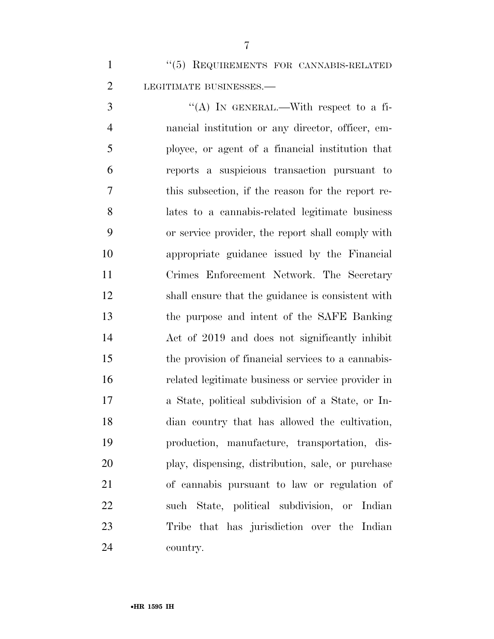''(5) REQUIREMENTS FOR CANNABIS-RELATED 2 LEGITIMATE BUSINESSES.

 $\mathcal{S}$  ''(A) In GENERAL.—With respect to a fi- nancial institution or any director, officer, em- ployee, or agent of a financial institution that reports a suspicious transaction pursuant to this subsection, if the reason for the report re- lates to a cannabis-related legitimate business or service provider, the report shall comply with appropriate guidance issued by the Financial Crimes Enforcement Network. The Secretary shall ensure that the guidance is consistent with the purpose and intent of the SAFE Banking Act of 2019 and does not significantly inhibit the provision of financial services to a cannabis- related legitimate business or service provider in a State, political subdivision of a State, or In- dian country that has allowed the cultivation, production, manufacture, transportation, dis- play, dispensing, distribution, sale, or purchase of cannabis pursuant to law or regulation of such State, political subdivision, or Indian Tribe that has jurisdiction over the Indian country.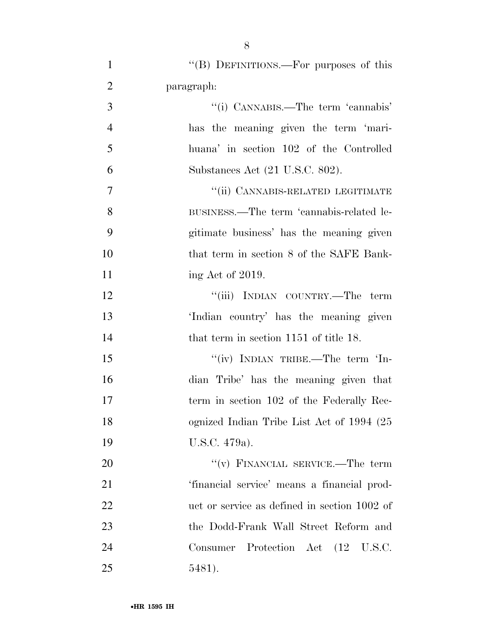| $\mathbf{1}$   | "(B) DEFINITIONS.—For purposes of this       |
|----------------|----------------------------------------------|
| $\overline{2}$ | paragraph:                                   |
| 3              | "(i) CANNABIS.—The term 'cannabis'           |
| $\overline{4}$ | has the meaning given the term 'mari-        |
| 5              | huana' in section 102 of the Controlled      |
| 6              | Substances Act (21 U.S.C. 802).              |
| 7              | "(ii) CANNABIS-RELATED LEGITIMATE            |
| 8              | BUSINESS.—The term 'cannabis-related le-     |
| 9              | gitimate business' has the meaning given     |
| 10             | that term in section 8 of the SAFE Bank-     |
| 11             | ing Act of 2019.                             |
| 12             | "(iii) INDIAN COUNTRY.—The term              |
| 13             | 'Indian country' has the meaning given       |
| 14             | that term in section 1151 of title 18.       |
| 15             | "(iv) INDIAN TRIBE.—The term 'In-            |
| 16             | dian Tribe' has the meaning given that       |
| 17             | term in section 102 of the Federally Rec-    |
| 18             | ognized Indian Tribe List Act of 1994 (25    |
| 19             | U.S.C. 479a).                                |
| 20             | "(v) FINANCIAL SERVICE.—The term             |
| 21             | 'financial service' means a financial prod-  |
| 22             | uct or service as defined in section 1002 of |
| 23             | the Dodd-Frank Wall Street Reform and        |
| 24             | Consumer Protection Act (12 U.S.C.           |
| 25             | 5481).                                       |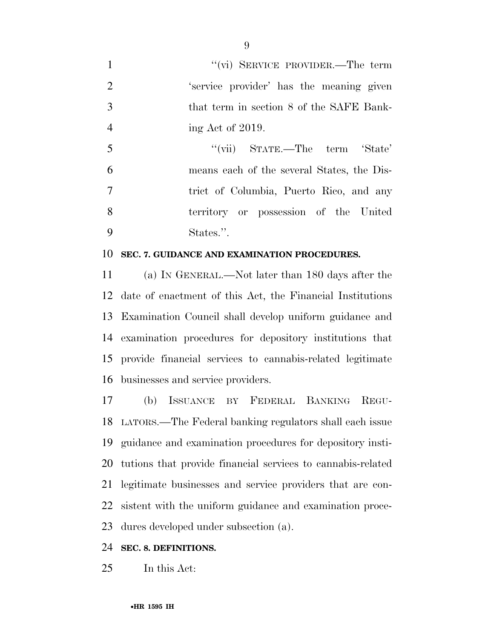1 ''(vi) SERVICE PROVIDER.—The term 'service provider' has the meaning given that term in section 8 of the SAFE Bank-4 ing Act of 2019.

5 "(vii) STATE.—The term 'State' means each of the several States, the Dis- trict of Columbia, Puerto Rico, and any territory or possession of the United States.''.

### **SEC. 7. GUIDANCE AND EXAMINATION PROCEDURES.**

 (a) IN GENERAL.—Not later than 180 days after the date of enactment of this Act, the Financial Institutions Examination Council shall develop uniform guidance and examination procedures for depository institutions that provide financial services to cannabis-related legitimate businesses and service providers.

 (b) ISSUANCE BY FEDERAL BANKING REGU- LATORS.—The Federal banking regulators shall each issue guidance and examination procedures for depository insti- tutions that provide financial services to cannabis-related legitimate businesses and service providers that are con- sistent with the uniform guidance and examination proce-dures developed under subsection (a).

# **SEC. 8. DEFINITIONS.**

In this Act: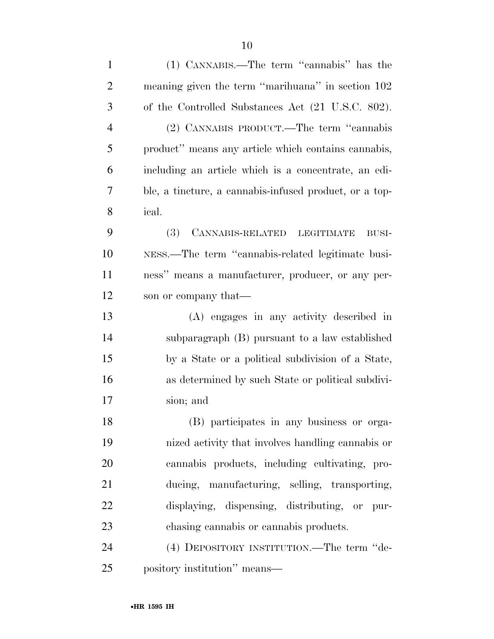| $\mathbf{1}$   | (1) CANNABIS.—The term "cannabis" has the              |
|----------------|--------------------------------------------------------|
| $\overline{2}$ | meaning given the term "marihuana" in section 102      |
| 3              | of the Controlled Substances Act (21 U.S.C. 802).      |
| $\overline{4}$ | (2) CANNABIS PRODUCT.—The term "cannabis               |
| 5              | product" means any article which contains cannabis,    |
| 6              | including an article which is a concentrate, an edi-   |
| 7              | ble, a tincture, a cannabis-infused product, or a top- |
| 8              | ical.                                                  |
| 9              | (3) CANNABIS-RELATED LEGITIMATE<br>$\rm BUSI\text{-}$  |
| 10             | NESS.—The term "cannabis-related legitimate busi-      |
| 11             | ness" means a manufacturer, producer, or any per-      |
| 12             | son or company that—                                   |
| 13             | (A) engages in any activity described in               |
| 14             | subparagraph (B) pursuant to a law established         |
| 15             | by a State or a political subdivision of a State,      |
| 16             | as determined by such State or political subdivi-      |
| 17             | sion; and                                              |
| 18             | (B) participates in any business or orga-              |
| 19             | nized activity that involves handling cannabis or      |
| 20             | cannabis products, including cultivating, pro-         |
| 21             | ducing, manufacturing, selling, transporting,          |
| 22             | displaying, dispensing, distributing, or pur-          |
| 23             | chasing cannabis or cannabis products.                 |
| 24             | (4) DEPOSITORY INSTITUTION.—The term "de-              |
| 25             | pository institution" means—                           |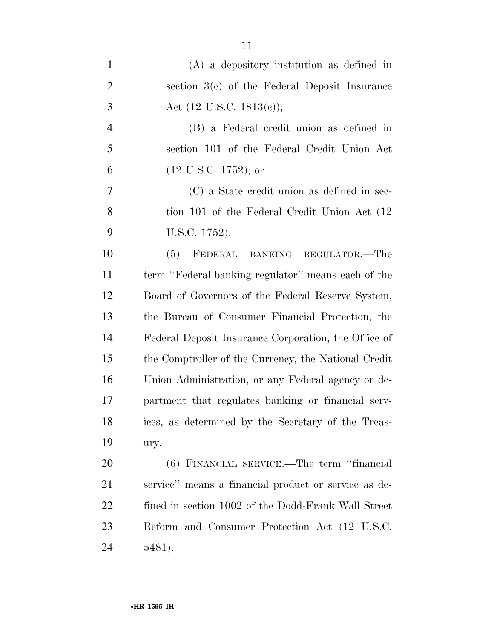| $\mathbf{1}$   | $(A)$ a depository institution as defined in         |
|----------------|------------------------------------------------------|
| $\overline{2}$ | section $3(c)$ of the Federal Deposit Insurance      |
| 3              | Act $(12 \text{ U.S.C. } 1813(c));$                  |
| $\overline{4}$ | (B) a Federal credit union as defined in             |
| 5              | section 101 of the Federal Credit Union Act          |
| 6              | $(12 \text{ U.S.C. } 1752)$ ; or                     |
| $\tau$         | (C) a State credit union as defined in sec-          |
| 8              | tion 101 of the Federal Credit Union Act (12)        |
| 9              | U.S.C. 1752).                                        |
| 10             | FEDERAL BANKING REGULATOR.-The<br>(5)                |
| 11             | term "Federal banking regulator" means each of the   |
| 12             | Board of Governors of the Federal Reserve System,    |
| 13             | the Bureau of Consumer Financial Protection, the     |
| 14             | Federal Deposit Insurance Corporation, the Office of |
| 15             | the Comptroller of the Currency, the National Credit |
| 16             | Union Administration, or any Federal agency or de-   |
| 17             | partment that regulates banking or financial serv-   |
| 18             | ices, as determined by the Secretary of the Treas-   |
| 19             | ury.                                                 |
| 20             | (6) FINANCIAL SERVICE.—The term "financial           |
| 21             | service" means a financial product or service as de- |
| 22             | fined in section 1002 of the Dodd-Frank Wall Street  |
| 23             | Reform and Consumer Protection Act (12 U.S.C.        |

5481).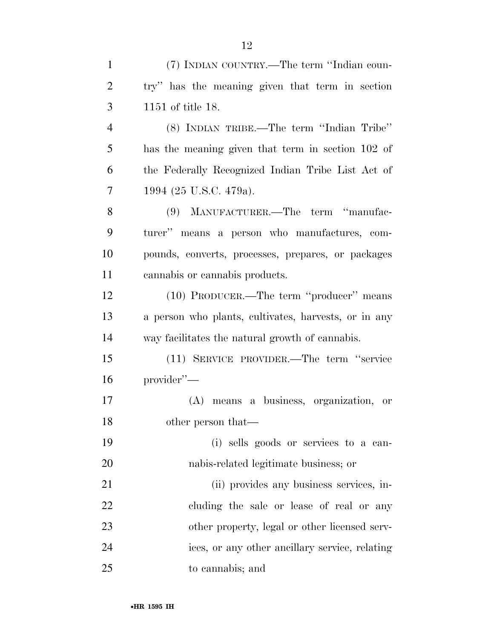| $\mathbf{1}$   | (7) INDIAN COUNTRY.—The term "Indian coun-           |
|----------------|------------------------------------------------------|
| $\overline{2}$ | try" has the meaning given that term in section      |
| 3              | 1151 of title 18.                                    |
| $\overline{4}$ | (8) INDIAN TRIBE.—The term "Indian Tribe"            |
| 5              | has the meaning given that term in section 102 of    |
| 6              | the Federally Recognized Indian Tribe List Act of    |
| 7              | 1994 (25 U.S.C. 479a).                               |
| 8              | (9) MANUFACTURER.—The term "manufac-                 |
| 9              | turer" means a person who manufactures, com-         |
| 10             | pounds, converts, processes, prepares, or packages   |
| 11             | cannabis or cannabis products.                       |
| 12             | (10) PRODUCER.—The term "producer" means             |
| 13             | a person who plants, cultivates, harvests, or in any |
| 14             | way facilitates the natural growth of cannabis.      |
| 15             | (11) SERVICE PROVIDER.—The term "service"            |
| 16             | provider"-                                           |
| 17             | (A) means a business, organization, or               |
| 18             | other person that—                                   |
| 19             | (i) sells goods or services to a can-                |
| 20             | nabis-related legitimate business; or                |
| 21             | (ii) provides any business services, in-             |
| 22             | cluding the sale or lease of real or any             |
| 23             | other property, legal or other licensed serv-        |
| 24             | ices, or any other ancillary service, relating       |
| 25             | to cannabis; and                                     |